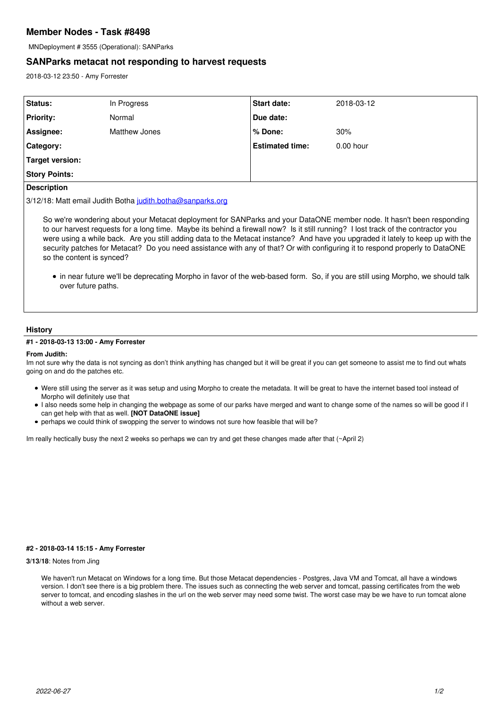# **Member Nodes - Task #8498**

MNDeployment # 3555 (Operational): SANParks

## **SANParks metacat not responding to harvest requests**

2018-03-12 23:50 - Amy Forrester

| Status:              | In Progress   | <b>Start date:</b>     | 2018-03-12  |
|----------------------|---------------|------------------------|-------------|
| <b>Priority:</b>     | Normal        | Due date:              |             |
| Assignee:            | Matthew Jones | % Done:                | 30%         |
| Category:            |               | <b>Estimated time:</b> | $0.00$ hour |
| Target version:      |               |                        |             |
| <b>Story Points:</b> |               |                        |             |
| .                    |               |                        |             |

## **Description**

3/12/18: Matt email Judith Botha [judith.botha@sanparks.org](mailto:judith.botha@sanparks.org)

So we're wondering about your Metacat deployment for SANParks and your DataONE member node. It hasn't been responding to our harvest requests for a long time. Maybe its behind a firewall now? Is it still running? I lost track of the contractor you were using a while back. Are you still adding data to the Metacat instance? And have you upgraded it lately to keep up with the security patches for Metacat? Do you need assistance with any of that? Or with configuring it to respond properly to DataONE so the content is synced?

in near future we'll be deprecating Morpho in favor of the web-based form. So, if you are still using Morpho, we should talk over future paths.

#### **History**

## **#1 - 2018-03-13 13:00 - Amy Forrester**

#### **From Judith:**

Im not sure why the data is not syncing as don't think anything has changed but it will be great if you can get someone to assist me to find out whats going on and do the patches etc.

- Were still using the server as it was setup and using Morpho to create the metadata. It will be great to have the internet based tool instead of Morpho will definitely use that
- I also needs some help in changing the webpage as some of our parks have merged and want to change some of the names so will be good if I can get help with that as well. **[NOT DataONE issue]**
- perhaps we could think of swopping the server to windows not sure how feasible that will be?

Im really hectically busy the next 2 weeks so perhaps we can try and get these changes made after that (~April 2)

## **#2 - 2018-03-14 15:15 - Amy Forrester**

#### **3/13/18**: Notes from Jing

We haven't run Metacat on Windows for a long time. But those Metacat dependencies - Postgres, Java VM and Tomcat, all have a windows version. I don't see there is a big problem there. The issues such as connecting the web server and tomcat, passing certificates from the web server to tomcat, and encoding slashes in the url on the web server may need some twist. The worst case may be we have to run tomcat alone without a web server.